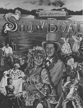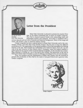



#### **Letter from the President**

Boise State University is pleased to present the musical *Show*  Dr. *John H. Keiser Boat,* in the state's Centennial year, in honor of Gladys Langroise. **President** . *Show Boat* is classical musical theater with outstanding music and *Boise State University* . overwagent accounts and costumes. All of that is combined with a extravagant scenery and costumes. All of that is combined with a

serious dramatic plot set with a romantic and historical background. Many of the songs and music will remain a part of American history forever.

Gladys Langroise has been a special person to Boise State University and to the community of Boise, and *Show Boat* is her favorite musical. She has seen at least five different productions of it. Her appreciation of the special qualities of *Show Boat* exemplifies her lifelong interest in the arts. That includes her leadership of the Santa Fe Opera when she was the wife of the late Governor of New Mexico, John J. Dempsey, where she helped establish a guild system for its support which received national recognition. It also includes her outstanding collection of Navajo art, one of the best in the country. Her generosity to the arts in Boise and to Boise State University is a part of a lifelong commitment to the arts and education.

Thus, the students and the Departments of Music and Theatre Arts are honored to present this production of *Show Boat* in the name of our good friend and a gracious lady, Gladys Langroise.



*Gladys Langroise*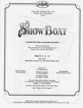



#### **A Special BSU Idaho Centennial Production**

Music by Jerome Kern Book and Lyrics by Oscar Hammerstein 2nd Based on the Novel by Edna Ferber

### **March** B. 9, **10**

s:oo p.m. Morrison Center for the PerforminQ Arts

> Directed by Dr. Stephen Buss

Musical Director Dr. Lynn Berg

Musical Conductor Dr. John Baldwin

Choreographer Marla Brattain Hansen

Associate Producer Mr. Wilber D. Elliott

Sets and Props by Roy King & Associates In Cooperation with Indiana University Opera Theatre Designer: C. David Higgins

Costumes Executed by Fullerton Civic Light Opera

Light Design by John Langrell

*SHOW BOAT* is *presented through special arrangement with THE RODGERS* & *HAMMERSTEIN THEATRE LIBRARY, 598 Madison Avenue, New York, NY* 10022.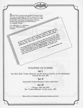

#### Act I

The Show Boat "Cotton Blossom" on the levee at Natchez on the Mississippi. Around the year 1885

#### Act II

Aboard the "Cotton Blossom," three weeks later.

#### Act III

Chicago, 1893 and 1905 The "Cotton Blossom'' on the Levee, 1907.

*There will be a 10-minute intermission between each Act.*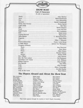

**SHOW BOAT cast of Characters**  *(In order of appearance)* 

| Backwoodsman/Jim Duane Lewis Kemp |  |
|-----------------------------------|--|
|                                   |  |
| <b>Congress of Beauty</b>         |  |
|                                   |  |
|                                   |  |
|                                   |  |
|                                   |  |
|                                   |  |
|                                   |  |
|                                   |  |
|                                   |  |
|                                   |  |
|                                   |  |
|                                   |  |
|                                   |  |
|                                   |  |
|                                   |  |

#### **The Players Aboard and About the Show Boat**

Rick Anderson Scott Beets Jimmy Belin Jennifer Benton Lynne Bringman Cameron Brown Reginald Cannon Eileen Cavanaugh Kea Chournos Rodney Cornist Cecelia Crumm Brad Eaton Catherine Elliott Rich Evans David Flora

———————————————————— •

 $\mathcal{F}$ 

Bobbi Frank Sean Gaylor Heather Hayter Christine J. Jones Duane Lewis Kemp Kirsten Kiesel Allyn Krueger Gabrielle Krueger Shannon Lynch Rise Maus Kenneth McKelvey Mitchell McNees Myra Le-Rhonda Miller Pete Moad Nikki Nelson

Rena Nelson Rick Nelson Roy Nelson Brenda Nielson Judy Pittman Louis Ray Sean Sanders Tami Jo Shank Tyra Shira Monie Smith Michael Spencer Jymme Sue Thompson Tamara L. Turner R.K. Williams Sarah Wood

 $\nabla$ 

*11* 

•

\*Paul Grant appears through the courtesy of Actor's Equity Association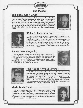

### **The Players**

### **Ben Tone** (Cap'n Andy)

Ben Tone began his professional acting career in New York City in the early 1940s where he appeared in many of the early live television shows, such as "You Are There" and the Hallmark Hall of Fame series. In 1962, he acted and directed in <sup>a</sup>summer theatre in Bozeman, Montana, and started a teaching career at Montana State University. During that time, he traveled to Seattle in the summers to act professionally with A.C.T., the Empty Space and the Seattle Repertory theatre.





# **Willis C. Patterson** (Joe)

Willis Patterson joins the cast of SHOW BOAT from Ann Arbor, Michigan, where he is the Associate Dean of Academic Affairs and Chairman of the Voice Department at the University of Michigan. He has performed over thirty different opera roles throughout the U.S. and Europe, as well as numerous oratorio roles and concert recitals. His credits also include twelve staged performances of "Great Day in the Morning," starring Jessye Norman in Theatre de Champs-Elysees, Paris, France, in 1982.

## **Stacey Bean** (Magnolia)

Stacey Bean is a relative newcomer to the stage, having been actively involved in theater for about a year. Her first participation in a BSU production was as a member of the chorus in FIDDLER ON THE ROOF. More recently, she has appeared in the Stage Coach Production of COMPANY as Amy and Boise Little Theater's production of I OUGHT TO BE IN PICTURES as Libby.





### **Paul Grant** (Gaylord Ravenal)

Paul Grant returns to his home town of Boise after five years of living and performing in the Hollywood area, and is pleased to be working again with Director Stephen Buss, with whom he created one of his favorite roles, Snoopy in YOU'RE A GOOD MAN, CHARLIE BROWN. His theatrical credits include The Prince in THE STUDENT PRINCE, Lt. Cable in SOUTH PACIFIC and Freddy in the Morrison Center's inaugural performance of MY FAIR LADY. Most recently, he has toured in CAMELOT with Robert Goulet.

# **Maria** Lewis (Julie)

Maria Lewis's theatre credits include the title role in *MAME,* Tzietal in FIDDLER ON THE ROOF, Mrs. Gobineau in THE MEDIUM, and Yum Yum in THE MIKADO. She is a Music/Business major and hopes to pursue a career in arts administration, although her first love is opera and performance. She would like to thank her family for being so supportive through the years of indecision.

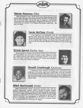# **Valerie Peterson** (Ellie)

With graduation in May, *SHOW BOAT* peak's Valerie Peterson's BSU theatre career. Her past roles include Hodel in *FIDDLER ON THE ROOF,*  Lois in *KISS ME KATE,* and the title role of Antigone in *ANTIGONE.*  This summer she will be returning to Viriginia City, Montana, for a second season as a member of the Virginia City Players. After that ... the sky's the limit!





### **Lucas McClure** (Franl<)

Lucas McClure has performed with the Utah Shakespearean Festival, Idaho Repertory Theatre, Idaho Shakespeare Festival, Idaho Theater For Youth and the Fort Peck Theatre, Montana. He is a graduate of Los Angeles Valley College and Boise State University where he received the Britt Bowden Memorial Scholarship for the Performing Arts.

## **Teresa Sproul** (Parthy Ann)

Teresa Sproul is a theatre arts graduate of Boise State University. After graduation, she spent time in coastal central California, where she worked with the Santa Maria Community Theatre. In her spare time, she enjoys working with Stage Coach Theater and pursuing <sup>a</sup> career as a Mary Kay Beauty Consultant.





 $\mathbf{I}$ 

# **Vernell Crumbaugh (Queenie)**

A Kentucky native, Vernell Crumbaugh lives and teaches home economics at the junior high level in Idaho Falls. She was a member of The Kentucky Players at Kentucky State University. Involved in singing and performing for church and community events as a lifelong pursuit, her theatre credits include *DIE FLEDERMAUS, THE MESSIAH* and *SHOW BOAT.* 

# **Mikel MacDonald (Steve)**

Mikel MacDonald's theatre experience includes roles with the Virginia Shakespeare Festival, Arizona Theatre Company, Oregon Repertory Theatre, Kennedy Center for the Performing Arts, and several roles with the Idaho Shakespeare Festival. Most recently, he was George Antrobus in *THE SKIN OF OUR TEETH,* Benedick in *MUCH ADO ABOUT NOTHING,* and Bolingbroke in *RICHARD II.* He holds an M.F.A. in directing and acting from the University of Arizona, and <sup>a</sup> B.A. in theatre from the University of Oregon.

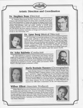# **Artistic Direction and Coordination**

### **Dr. Stephen Buss (Director)**

Dr. Stephen Buss joined the BSU faculty in 1978 and served as designer and technical director for seven years. Currently, he is Chairman of the Department of Theatre Arts. Recent set designs include Boise Opera's production of *A SEASON OF SORROW,* and his directing credits include *OKLAHOMA!, KISS ME KATE, YOU'RE A* GOOD *MAN CHARLIE BROWN, LITTLE MARY SUNSHINE, MAME* and *FIDDLER ON THE ROOF.* He is the regional chairman of the Inland Northwest Section of the American Association of Design and Production Professionals in the Performing Arts.





# **Dr. Lynn Berg** (Musical Director)

Dr. Lynn Berg, an associate professor of Voice and Opera Theatre, holds a B.M. and D.M.A. from the University of Wisconsin-Madison and M.M. from Northwestern University. He has coached and stagedirected many opera productions and musicals at BSU, including last season's Menotti double bill *THE TELEPHONE* and *THE MEDIUM,*  summer productions *SOME ENCHANTED EVENING* and *LITTLE MARY SUNSHINE.* He has served as stage director for Boise Opera productions of *HANSEL AND GRETEL* and *THE MAGIC FLUTE.* 

## **Dr. John Baldwin (Conductor)**

Dr. John Baldwin is professor of Percussion and Theory, and has taught at the University of Wichita, Michigan State University, and the University of Wisconsin at Oshkosh. His is timpanist and principal percussionist for several orchestras and music festivals in the Northwest, performing for numerous concerts, operas, ballets and musicals. *SHOW BOAT* is his fifth annual production at BSU.





# **Marla Brattain Hansen (Choreographer)**

Marla Brattain Hansen is co-director of Idaho Dance Theatre. She was a Harkness Ballet Company trainee in New York City and earned B.F.A. and M.F.A. degrees in ballet from the University of Utah while dancing as an apprentice with Ballet West. She has been a principal dancer and choreogrpaher with the Portland Ballet and in 1981 joined American Festival Ballet as a principal dancer, choreographer and interim artistic director. For her choreography of AFB's *FIREBIRD* she received the 1988 Idaho Commission on the Arts Fellowship grant.

### **Wilber Elliott (Associate Producer)**

Wilber Elliott has served as Chairman of the Department of Music for twenty years and holds a B.A. from the University of Washington and an M.E. from Central Washington University. He has been involved in many aspects of choral music and music education, serving as president for the Idaho Music Educators, Idaho Choral Directors and Northwest Choral Directors. Currently, he is President-Elect of the Northwest Music Educators.

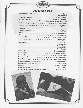

# **Production Staff**

'f

| Pamela Helm<br><b>The Common Card Common</b>                                                                                                                                     |
|----------------------------------------------------------------------------------------------------------------------------------------------------------------------------------|
|                                                                                                                                                                                  |
| Technical Direction Robert E. Riddle and<br>The Idaho Organization of Technical Artists                                                                                          |
|                                                                                                                                                                                  |
| Jason D. Lowry                                                                                                                                                                   |
|                                                                                                                                                                                  |
|                                                                                                                                                                                  |
|                                                                                                                                                                                  |
|                                                                                                                                                                                  |
|                                                                                                                                                                                  |
| <b>Aaron McCulloch</b>                                                                                                                                                           |
| <b>Tony Binder</b><br><b>Example 19 Service School Service School Service School Service School Service School Service School Service S</b><br>Expediate Gardener<br>Pam Simmons |
|                                                                                                                                                                                  |
|                                                                                                                                                                                  |
|                                                                                                                                                                                  |
|                                                                                                                                                                                  |
| Press Representative  Amy Stahl, BSU News Services                                                                                                                               |
| Departmental Publicity Supervisor Charles Lauterbach                                                                                                                             |
|                                                                                                                                                                                  |
|                                                                                                                                                                                  |
|                                                                                                                                                                                  |
| Act II "Chicago World's Fair" Scenic Painter Michael Baltzell                                                                                                                    |

SHOW<br>BOAT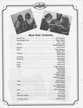# **Show Boat Orchestra**

| a company of the control to the control of         | <b>Katy Young</b>                                                                                                                                             |
|----------------------------------------------------|---------------------------------------------------------------------------------------------------------------------------------------------------------------|
|                                                    | Richelle Sugiyama                                                                                                                                             |
|                                                    |                                                                                                                                                               |
|                                                    | <b>Karece Wray</b>                                                                                                                                            |
| Steve Smith                                        |                                                                                                                                                               |
|                                                    |                                                                                                                                                               |
|                                                    | Pat Clasby                                                                                                                                                    |
| Guitar<br>Clasoy<br>Cuitar<br>Clasoy<br>Cat Clasoy |                                                                                                                                                               |
|                                                    |                                                                                                                                                               |
| a Lam                                              | Nina Borchurt<br>Julia Carroll<br><b>Kathy Ellis</b><br>Seana Gamel<br><b>Suzanne Jaynes</b><br><b>Frank Outhet</b><br>Marlene Schwenk<br><b>Ivy Tizekker</b> |
|                                                    | Phedra Harris<br><b>Shirley Madsen</b>                                                                                                                        |
|                                                    | Kari Shepherdson<br><b>Jody Zimmer</b>                                                                                                                        |
|                                                    | Lisa Hunt                                                                                                                                                     |
|                                                    |                                                                                                                                                               |
|                                                    | Liz Noland                                                                                                                                                    |
|                                                    |                                                                                                                                                               |
|                                                    |                                                                                                                                                               |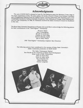

### Acknowledgments

The cast of *SHOW BOAT* is pleased to have Dr. Del Parkinson grace the Morrison Center stage in his cameo appearance as Jake, the piano player. He holds a Doctor of Music from Indiana University and a Postgraduate Diploma from the Juilliard School, and has performed with orchestras such as the Guadalajara Symphony, Indiana University Symphony, Civic Orchestra of Chicago, Boise Philharmonic, and the Utah Symphony. In 1988, Dr. Parkinson received the Idaho Governor's Award for Excellence in the Arts.

The Boise State University Department of Theatre Arts would like to acknowledge the following patrons for their contributions to the "First-Nighter" Scholarship:

..

Florence Taylor Jerry Cunningham Ronald & Linda Kerr Charles & Carol Waag David & Beverly Taylor Jake & Betty Wilson

<sup>1990</sup>"First-Nighter" Scholarship recipient: Kea Chournos

The following patrons have contributed to the success of Boise State University's Idaho Centennial production of *SHOW BOAT:* 

> The Idaho Shakespeare Festival Bert Bender & Joe Cenarrusa of Boise Food Development Brian Louks of KBC Productions Steve & Davia Buss Victor & Anita Lewis The University Inn Velma Morrison Gladys Langroise